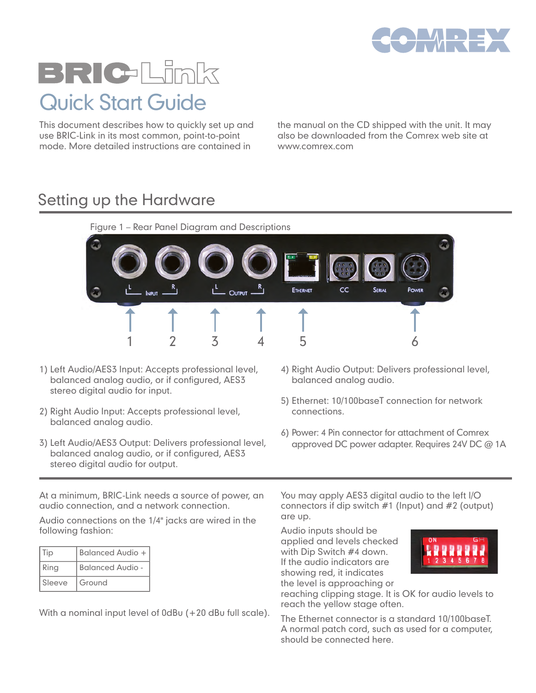

# BRIC-Link Quick Start Guide

This document describes how to quickly set up and use BRIC-Link in its most common, point-to-point mode. More detailed instructions are contained in

the manual on the CD shipped with the unit. It may also be downloaded from the Comrex web site at www.comrex.com

#### Setting up the Hardware



- 1) Left Audio/AES3 Input: Accepts professional level, balanced analog audio, or if configured, AES3 stereo digital audio for input.
- 2) Right Audio Input: Accepts professional level, balanced analog audio.
- 3) Left Audio/AES3 Output: Delivers professional level, balanced analog audio, or if configured, AES3 stereo digital audio for output.
- 4) Right Audio Output: Delivers professional level, balanced analog audio.
- 5) Ethernet: 10/100baseT connection for network connections.
- 6) Power: 4 Pin connector for attachment of Comrex approved DC power adapter. Requires 24V DC @ 1A

At a minimum, BRIC-Link needs a source of power, an audio connection, and a network connection.

Audio connections on the 1/4" jacks are wired in the following fashion:

| l Tip         | <b>Balanced Audio +</b> |
|---------------|-------------------------|
| Ring          | <b>Balanced Audio -</b> |
| <b>Sleeve</b> | Ground                  |

With a nominal input level of 0dBu (+20 dBu full scale).

You may apply AES3 digital audio to the left I/O connectors if dip switch #1 (Input) and #2 (output) are up.

Audio inputs should be applied and levels checked with Dip Switch #4 down. If the audio indicators are showing red, it indicates the level is approaching or



reaching clipping stage. It is OK for audio levels to reach the yellow stage often.

The Ethernet connector is a standard 10/100baseT. A normal patch cord, such as used for a computer, should be connected here.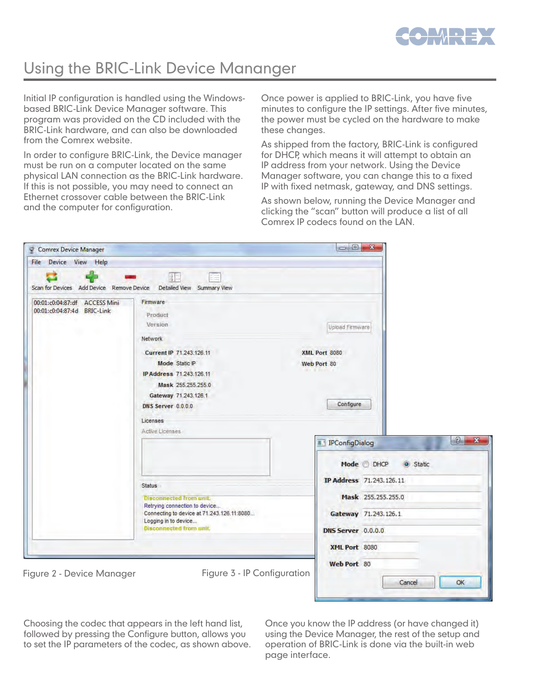

## Using the BRIC-Link Device Mananger

Initial IP configuration is handled using the Windowsbased BRIC-Link Device Manager software. This program was provided on the CD included with the BRIC-Link hardware, and can also be downloaded from the Comrex website.

In order to configure BRIC-Link, the Device manager must be run on a computer located on the same physical LAN connection as the BRIC-Link hardware. If this is not possible, you may need to connect an Ethernet crossover cable between the BRIC-Link and the computer for configuration.

Once power is applied to BRIC-Link, you have five minutes to configure the IP settings. After five minutes, the power must be cycled on the hardware to make these changes.

As shipped from the factory, BRIC-Link is configured for DHCP, which means it will attempt to obtain an IP address from your network. Using the Device Manager software, you can change this to a fixed IP with fixed netmask, gateway, and DNS settings.

As shown below, running the Device Manager and clicking the "scan" button will produce a list of all Comrex IP codecs found on the LAN.

| <b>Comrex Device Manager</b>                                         |                                                                                                                                                                                                                        |                                                                                                                                                                          |
|----------------------------------------------------------------------|------------------------------------------------------------------------------------------------------------------------------------------------------------------------------------------------------------------------|--------------------------------------------------------------------------------------------------------------------------------------------------------------------------|
| File Device View Help                                                |                                                                                                                                                                                                                        |                                                                                                                                                                          |
| Scan for Devices Add Device Remove Device Detailed View Summary View | 圖                                                                                                                                                                                                                      |                                                                                                                                                                          |
| 00:01:c0:04:87:df ACCESS Mini<br>00:01:c0:04:87:4d BRIC-Link         | Firmware<br>Product<br>Version<br>Network<br>Current IP 71.243.126.11<br>Mode Static IP<br>IP Address 71.243.126.11<br>Mask 255.255.255.0<br>Gateway 71.243.126.1<br>DNS Server 0.0.0.0<br>Licenses<br>Active Licenses | Upload Firmware<br><b>XML Port 8080</b><br>Web Port 80<br><b>SELLING</b><br>Configure<br>$\sqrt{2}$<br>$\mathbf{x}$<br><b>IPConfigDialog</b><br>風<br>Mode DHCP<br>Static |
| Figure 2 - Device Manager                                            | <b>Status</b><br>Disconnected from unit.<br>Retrying connection to device<br>Connecting to device at 71.243.126.11:8080<br>Logging in to device<br><b>Disconnected from unit.</b><br>Figure 3 - IP Configuration       | IP Address 71.243.126.11<br>Mask 255,255.255.0<br>Gateway 71.243.126.1<br><b>DNS Server</b> 0.0.0.0<br><b>XML Port 8080</b><br>Web Port 80<br>OK<br>Cancel               |

Choosing the codec that appears in the left hand list, followed by pressing the Configure button, allows you to set the IP parameters of the codec, as shown above.

Once you know the IP address (or have changed it) using the Device Manager, the rest of the setup and operation of BRIC-Link is done via the built-in web page interface.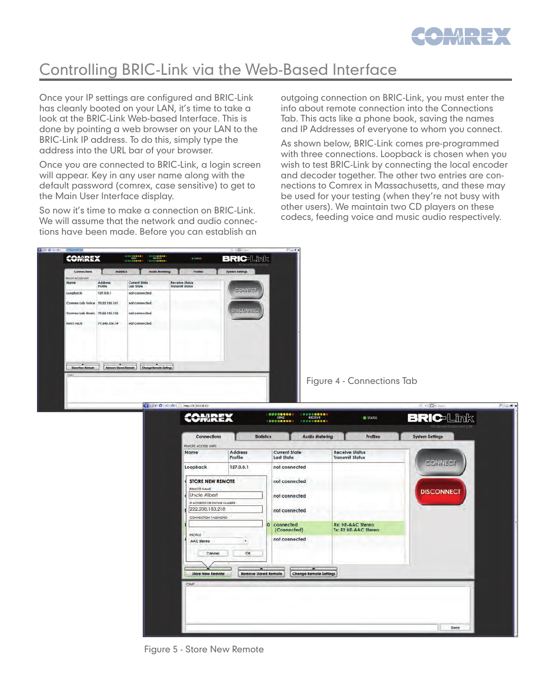

## Controlling BRIC-Link via the Web-Based Interface

Once your IP settings are configured and BRIC-Link has cleanly booted on your LAN, it's time to take a look at the BRIC-Link Web-based Interface. This is done by pointing a web browser on your LAN to the BRIC-Link IP address. To do this, simply type the address into the URL bar of your browser.

Once you are connected to BRIC-Link, a login screen will appear. Key in any user name along with the default password (comrex, case sensitive) to get to the Main User Interface display.

So now it's time to make a connection on BRIC-Link. We will assume that the network and audio connections have been made. Before you can establish an

outgoing connection on BRIC-Link, you must enter the info about remote connection into the Connections Tab. This acts like a phone book, saving the names and IP Addresses of everyone to whom you connect.

As shown below, BRIC-Link comes pre-programmed with three connections. Loopback is chosen when you wish to test BRIC-Link by connecting the local encoder and decoder together. The other two entries are connections to Comrex in Massachusetts, and these may be used for your testing (when they're not busy with other users). We maintain two CD players on these codecs, feeding voice and music audio respectively.



Figure 4 - Connections Tab

| Name                                          | <b>Address</b>                   | <b>Current State</b>               | <b>Receive Status</b>                            |                   |
|-----------------------------------------------|----------------------------------|------------------------------------|--------------------------------------------------|-------------------|
|                                               | Profile                          | <b>Last State</b>                  | <b>Transmit Status</b>                           |                   |
| Loopback                                      | 127.0.0.1                        | not connected                      |                                                  | <b>CONNECT</b>    |
| <b>STORE NEW REMOTE</b><br>REMOTE NAME        |                                  | not connected                      |                                                  | <b>DISCONNECT</b> |
| Uncle Albert                                  |                                  | not connected                      |                                                  |                   |
| IP ADDRESS OR PHONE NUMBER<br>222.208.183.218 |                                  |                                    |                                                  |                   |
| CONNECTION PASSWORD                           |                                  | not connected                      |                                                  |                   |
| PROFILE                                       |                                  | connected<br>io.<br>(Connected)    | <b>Rx: HE-AAC Stereo</b><br>Tx: E2 HE-AAC Stereo |                   |
| <b>AAC Stereo</b>                             | $\star$                          | not connected                      |                                                  |                   |
| Cancel                                        | OK                               |                                    |                                                  |                   |
|                                               |                                  |                                    |                                                  |                   |
| <b>Store New Remote</b>                       | ≖<br><b>Remove Stored Remote</b> | -<br><b>Change Remote Settings</b> |                                                  |                   |
|                                               |                                  |                                    |                                                  |                   |
| CHAT                                          |                                  |                                    |                                                  |                   |
|                                               |                                  |                                    |                                                  |                   |

Figure 5 - Store New Remote